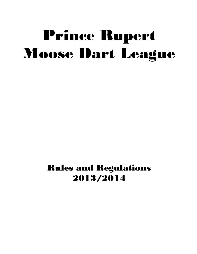# Prince Rupert Moose Dart League

Rules and Regulations 2013/2014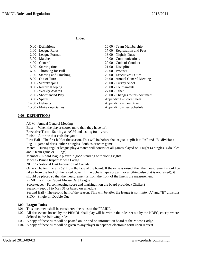**Index**

| 0.00 - Definitions            | 16.00 - Team Membership          |
|-------------------------------|----------------------------------|
| 1.00 - League Rules           | 17.00 - Registration and Fees    |
| 2.00 - League Format          | 18.00 - Nightly Dues             |
| 3.00 - Matches                | 19.00 - Communications           |
| $4.00$ - General              | 20.00 - Code of Conduct          |
| 5.00 - Starting time          | 21.00 - Discipline               |
| 6.00 - Throwing for Bull      | $22.00$ - Protests               |
| 7.00 - Starting and Finishing | 23.00 - Executives Duties        |
| 8.00 - Out of Turn            | 24.00 - Annual General Meeting   |
| 9.00 - Scorekeeping           | 25.00 - Turkey Shoot             |
| 10.00 - Record Keeping        | 26.00 - Tournaments              |
| 11.00 - Weekly Awards         | $27.00 - Other$                  |
| 12.00 - Shorthanded Play      | 28.00 - Changes to this document |
| $13.00 - Spares$              | Appendix 1 - Score Sheet         |
| 14.00 - Defaults              | Appendix 2 - Executive           |
| 15.00 - Make - up Games       | Appendix 3 - Fee Schedule        |
|                               |                                  |

#### **0.00 - DEFINITIONS**

AGM - Annual General Meeting

Bust - When the player scores more than they have left.

Executive Term - Starting at AGM and lasting for 1 year.

Finish - A throw that ends the game

First Half - The first half of the season. This will be before the league is split into "A" and "B" divisions Leg - 1 game of darts, either a singles, doubles or team game

Match - During regular league play a match will consist of all games played on 1 night (4 singles, 4 doubles and 3 team game or 11 legs)

Member - A paid league player in good standing with voting rights.

Moose - Prince Rupert Moose Lodge

NDFC - National Dart Federation of Canada

Oche - The toe line  $7'$  9  $\frac{3}{4}$ " from the face of the board. If the oche is raised, then the measurement should be taken from the back of the raised object. If the oche is tape (or paint or anything else that is not raised), it should be placed so that the measurement is from the front of the line is the measurement.

PRMDL - Prince Rupert Moose Dart League

Scorekeeper - Person keeping score and marking it on the board provided (Chalker)

Season - Sept 01 to May 31 or based on schedule

Second Half - The second half of the season. This will be after the league is split into "A" and "B" divisions SIDO - Single In, Double Out

### **1.00 - League Rules**

- 1.01 This document shall be considered the rules of the PRMDL.
- 1.02 All dart events hosted by the PRMDL shall play will be within the rules set out by the NDFC, except where defined in the following rules.
- 1.03 A copy of these rules will be posted online and on information board at the Moose Lodge
- 1.04 A copy of these rules will be given to any player in paper or electronic form upon request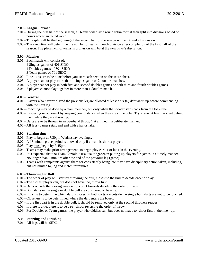## **2.00 - League Format**

- 2.01 During the first half of the season, all teams will play a round robin format then split into divisions based on points scored in round robin.
- 2.02 This split will be the beginning of the second half of the season with an A and a B division.
- 2.03 The executive will determine the number of teams in each division after completion of the first half of the season. The placement of teams in a division will be at the executive's discretion.

## **3.00 - Matches**

- 3.01 Each match will consist of:
	- 4 Singles games of 401 SIDO
	- 4 Doubles games of 501 SIDO
	- 3 Team games of 701 SIDO
- 3.02 Line ups are to be done before you start each section on the score sheet.
- 3.03 A player cannot play more than 1 singles game or 2 doubles matches.
- 3.04 A player cannot play in both first and second doubles games or both third and fourth doubles games.
- 3.04 2 players cannot play together in more than 1 doubles match.

## **4.00 - General**

- 4.01 Players who haven't played the previous leg are allowed at least a six (6) dart warm up before commencing with the next leg.
- 4.02 Coaching may be done by a team member, but only when the shooter steps back from the toe line.
- 4.03 Respect your opponent by keeping your distance when they are at the oche! Try to stay at least two feet behind them while they are throwing.
- 4.04 Darts are to be thrown in an overhand throw, 1 at a time, in a deliberate manner.
- 4.05 All legs (games) start and end with a handshake.

# **5.00 - Starting time**

- 5.01 Play to begin at 7:30pm Wednesday evenings.
- 5.02 A 15 minute grace period is allowed only if a team is short a player.
- 5.03 Play must begin by 7:45pm.
- 5.04 Teams may make prior arrangements to begin play earlier or later in the evening.
- 5.05 It is expected that the Team Captain's use due diligence in putting up players for games in a timely manner. No longer than 2 minutes after the end of the previous leg (game).
- 5.06 Teams with complaints against them for consistently being late may have disciplinary action taken, including, but not limited to, leg and match forfeitures.

# **6.00 - Throwing for Bull**

- 6.01 The order of play will start by throwing the bull, closest to the bull to decide order of play.
- 6.02 The closest player can, but does not have too, throw first.
- 6.03 Darts outside the scoring area do not count towards deciding the order of throw.
- 6.04 Both darts in the single or double bull are considered to be a tie.
- 6.05 If trying to determine which dart is closest, if both darts are outside the single bull, darts are not to be touched.
- 6.06 Closeness is to be determined where the dart enters the board.
- 6.07 If the first dart is in the double bull, it should be removed only at the second throwers request.
- 6.08 If there is a tie, there is to be a re throw reversing the order of throw.
- 6.09 For Doubles or Team games, the player who diddles can, but does not have to, shoot first in the line up.

# **7. 00 - Starting and Finishing**

7.01 - All legs will be SIDO.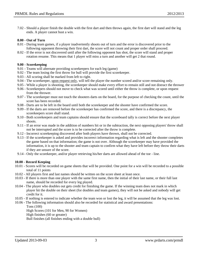7.02 - Should a player finish the double with the first dart and then throws again, the first dart will stand and the leg ends. A player cannot bust a win.

### **8.00 - Out of Turn**

- 8.01 During team games, if a player inadvertently shoots out of turn and the error is discovered prior to the following opponent throwing their first dart, the score will not count and proper order shall proceed.
- 8.02 If the error is not discovered until after the following opponent has shot, the score will stand and proper rotation resume. This means that 1 player will miss a turn and another will get 2 that round.

#### **9.00 - Scorekeeping**

- 9.01 Teams will alternate providing scorekeepers for each leg (game)
- 9.02 The team losing the first throw for bull will provide the first scorekeeper.
- 9.03 All scoring shall be marked from left to right.
- 9.04 The scorekeeper, upon request only, will tell the player the number scored and/or score remaining only.
- 9.05 While a player is shooting, the scorekeeper should make every effort to remain still and not distract the thrower
- 9.06 Scorekeepers should not move to check what was scored until either the throw is complete, or upon request from the thrower.
- 9.07 The scorekeeper must not touch the shooters darts on the board, for the purpose of checking the count, until the score has been recorded.
- 9.08 Darts are to be left in the board until both the scorekeeper and the shooter have confirmed the score.
- 9.09 If the darts are removed before the scorekeeper has confirmed the score, and there is a discrepancy, the scorekeepers score shall stand.
- 9.10 Both scorekeepers and team captains should ensure that the scoreboard tally is correct before the next player shoots.
- 9.11 If an error was made in the addition of numbers hit or in the subtraction, the next opposing players' throw shall not be interrupted and the score is to be corrected after the throw is complete.
- 9.12 Incorrect scorekeeping discovered after both players have thrown, shall not be corrected.
- 9.13 If the scorekeeper is asked and provides incorrect information regarding what is left and the shooter completes the game based on that information; the game is not over. Although the scorekeeper may have provided the information, it is up to the shooter and team captain to confirm what they have left before they throw their darts if they are unsure of the score.
- 9.14 Only the scorekeeper, and/or player retrieving his/her darts are allowed ahead of the toe line.

### **10.00 - Record Keeping**

- 10.01 Scores will be recorded on game sheets that will be provided. One point for a win will be recorded to a possible total of 11 points
- 10.02 All players first and last names should be written on the score sheet at least once.
- 10.03 If there is more than one player with the same first name, then the initial of their last name, or their full last name, should be recorded for every leg played.
- 10.04 The player who doubles out gets credit for finishing the game. If the winning team does not mark in which player hit the double on their sheet (for doubles and team games), they will not be asked and nobody will get credit for it.
- 10.05 If nothing is entered to indicate whether the team won or lost the leg, it will be assumed that the leg was lost.
- 10.06 The following information should also be recorded for statistical and award presentations: Tons (100)

High Scores (101 for Men, 90 for Women) High finishes (60 or greater)

Bull finishes (all finishes ending with a double bull)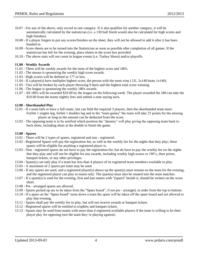- 10.07 For any of the above, only record in one category. If it also qualifies for another category, it will be automatically calculated by the statistician (i.e. a 130 bull finish would also be calculated for high scores and high finishes).
- 10.08 If a player forgets to put any scores/finishes on the sheet, they will not be allowed to add it after it has been handed in.
- 10.09 Score sheets are to be turned into the Statistician as soon as possible after completion of all games. If the statistician has left for the evening, place sheets in the score box provided.
- 10.10 The above stats will not count in league events (i.e. Turkey Shoot) and/or playoffs.

### **11.00 - Weekly Awards**

- 11.01 There will be weekly awards for the most of the highest score and 180's.
- 11.02 The moose is sponsoring the weekly high score awards.
- 11.03 High scores will be defined as 177 or less.
- 11.04 If a player(s) have multiples highest score, the person with the most wins ( I.E. 2x140 beats 1x140).
- 11.05 Ties will be broken by each player throwing 9 darts and the highest total score winning.
- 11.06 The league is sponsoring the weekly 180's awards.
- 11.07 All 180's will be awarded \$10.00 by the league on the following week. The player awarded the 180 can take the \$10.00 from the teams nightly fees and submit a note saying such.

#### **12.00 - Shorthanded Play**

- 12.01 If a team fails to have a full roster, but can field the required 3 players, then the shorthanded team must: Forfeit 1 singles leg, forfeit 1 doubles leg and in the "team games" the team will take 25 points for the missing player as long as the amount can be deducted from the score.
- 12.02 The opposing team is to be notified which position the "dummy" will play giving the opposing team back to back shots, including shots at the double to finish the game.

#### **13.00 - Spares**

- 13.01 There will be 2 types of spares, registered and non registered.
- 13.02 Registered Spares will pay the registration fee, as well as the weekly fee for the nights that they play; these spares will be eligible for anything a registered player is.
- 13.03 Non registered spares do not have to pay the registration fee, but do have to pay the weekly fee on the nights that they play and will not be eligible for any awards, including weekly high scores or 180's, door prizes, banquet tickets, or any other privileges.
- 13.04 Spare(s) can only play if a team has less than 4 players of its registered team members available to play.
- 13.05 A maximum of 2 spares per team may be used.
- 13.06 If any spares are used, and a registered player(s) shows up the spare(s) must remain on the team for the evening, and the registered player can play in teams only. The spare(s) must also be rotated into the team matches.
- 13.07 If a spare(s) is used for the evening, first and last names with "(spare)" beside it, should be written on the score sheet.
- 13.08 Pre arranged spares are allowed.
- 13.09 Spares picked up are to be taken from the "Spare board", if not pre arranged, in order from the top to bottom.
- 13.10 If a spare on the "Spare board" turns down a team the spare will be taken off the spare board and not allowed to play that evening.
- 13.11 Spares shall pay the weekly fee to play, but will not receive awards or banquet tickets.
- 13.12 Registered spares will be entitled to trophies and banquet tickets.
- 13.13 Spares may be used from teams with more than 4 registered available players if the team is willing to let their player play for opposing (not the team they're playing against).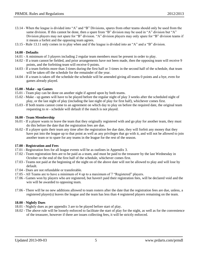- 13.14 When the league is divided into "A" and "B" Divisions, spares from other teams should only be used from the same division. If this cannot be done, then a spare from "B" division may be used in "A" division but "A" Division players may not spare for "B" division. "A" division players may only spare for "B" division teams if it means a forfeit and the opposing team agrees.
- 13.15 Rule 13.11 only comes in to play when and if the league is divided into an "A" and a "B" division.

### **14.00 - Defaults**

- 14.01 A minimum of 3 players including 2 regular team members must be present in order to play.
- 14.02 If a team cannot be fielded, and prior arrangements have not been made, then the opposing team will receive 9 points, and the forfeiting team will receive 0 points.
- 14.03 If a team forfeits more than 3 times during the first half or 3 times in the second half of the schedule, that team will be taken off the schedule for the remainder of the year.
- 14.04 If a team is taken off the schedule the schedule will be amended giving all teams 0 points and a bye, even for games already played.

#### **15.00 - Make - up Games**

- 15.01 Team play can be done on another night if agreed upon by both teams.
- 15.02 Make up games will have to be played before the regular night of play 3 weeks after the scheduled night of play, or the last night of play (including the last night of play for first half), whichever comes first.
- 15.03 If both teams cannot come to an agreement on which day to play on before the required date, the original team requesting to re - schedule will default if the match is not played.

#### **16.00 - Team Membership**

- 16.01 If a player wants to leave the team that they originally registered with and go play for another team, they must do this before the date that the registration fees are due.
- 16.02 If a player quits their team any time after the registration fee due date, they will forfeit any money that they have put into the league up to that point as well as any privileges that go with it, and will not be allowed to join another team or to spare for any teams in the league for the rest of the season.

### **17.00 - Registration and Fees**

- 17.01 Registration fees for all league events will be as outlines in Appendix 3.
- 17.02 Team registration fees are to be paid as a team, and must be paid to the treasurer by the last Wednesday in October or the end of the first half of the schedule, whichever comes first.
- 17.03 Teams not paid at the beginning of the night on of the above date will not be allowed to play and will lose by default.
- 17.04 Dues are not refundable or transferable.
- 17.05 All Teams are to have a minimum of 4 up to a maximum of 7 "Registered" players.
- 17.06 Games won by players who are registered, but haven't paid their registration fees, will be declared void and the win will be awarded to opposing team.
- 17.06 There will be no new additions allowed to team rosters after the date that the registration fees are due, unless, a registered player(s) leaves the league and the team has less than 4 registered players remaining on the team.

#### **18.00 - Nightly Dues**

- 18.01 Nightly dues as per appendix 3 are to be played before start of play.
- 18.02 The above rule will be loosely enforced to facilitate the start of play for the night, as well as for the convenience of the treasurer, however if there are issues collecting fees, it will be strictly enforced.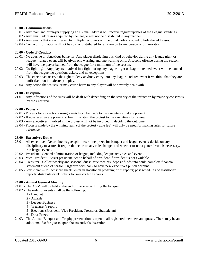### **19.00 - Communications**

- 19.01 Any team and/or player supplying an E mail address will receive regular updates of the League standings.
- 19.02 Any email addresses acquired by the league will not be distributed in any manner.
- 19.03 Any emails that are addressed to multiple recipients will be blind carbon copied to hide the addresses.
- 19.04 Contact information will not be sold or distributed for any reason to any person or organization.

### **20.00 - Code of Conduct**

- 20.01 No abusive or obnoxious behavior. Any player displaying this kind of behavior during any league night or league - related event will be given one warning and one warning only. A second offence during the season will have the player banned from the league for a minimum of the season.
- 20.02 No fighting!!! Any players involved in a fight during any league night or league related event will be banned from the league, no questions asked, and no exceptions!
- 20.03 The executives reserve the right to deny anybody entry into any league related event if we think that they are unfit (i.e.: too intoxicated) to play.
- 20.04 Any action that causes, or may cause harm to any player will be severely dealt with.

## **21.00 - Discipline**

21.01 - Any infractions of the rules will be dealt with depending on the severity of the infraction by majority consensus by the executive.

### **22.00 - Protests**

- 22.01 Protests for any action during a match can be made to the executives that are present.
- 22.02 If no executive are present, submit in writing the protest to the executives for review.
- 22.03 Any executives involved in the protest will not be involved in deciding the outcome.
- 22.04 Protests made by the winning team (of the protest able leg) will only be used for making rules for future reference.

### **23.00 - Executives Duties**

- 23.01 All executive Determine league split; determine prizes for banquet and league events; decide on any disciplinary measures if required; decide on any rule changes and whether or not a general vote is necessary, run league events.
- 23.02 President General administration of league, including league activities and events.
- 23.03 Vice President Assist president, act on behalf of president if president is not available.
- 23.04 Treasurer Collect weekly and seasonal dues; issue receipts; deposit funds into bank; complete financial statement at end of season; Organize with bank to have new executives put on account.
- 23.05 Statistician Collect score sheets, enter in statistician program; print reports; post schedule and statistician reports; distribute drink tickets for weekly high scores.

### **24.00 - Annual General Meeting**

- 24.01 The AGM will be held at the end of the season during the banquet.
- 24.02 The order of events shall be the following:
	- 1 Banquet
	- 2 Awards
	- 3 League Business
	- 4 Treasurer's report
	- 5 Elections (President, Vice President, Treasurer, Statistician)
	- 6 Door Prizes
- 24.03 The Annual Banquet and Trophy presentation is open to all registered members and guests. There may be an additional fee for guests upon the executive's discretion.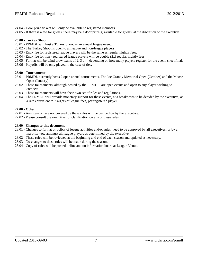- 24.04 Door prize tickets will only be available to registered members.
- 24.05 If there is a fee for guests, there may be a door prize(s) available for guests, at the discretion of the executive.

## **25.00 - Turkey Shoot**

- 25.01 PRMDL will host a Turkey Shoot as an annual league event.
- 25.02 The Turkey Shoot is open to all league and non-league players.
- 25.03 Entry fee for registered league players will be the same as regular nightly fees.
- 25.04 Entry fee for non registered league players will be double (2x) regular nightly fees.
- 25.05 Format will be blind draw teams of 2, 3 or 4 depending on how many players register for the event, sheet final.
- 25.06 Playoffs will be only played in the case of ties.

## **26.00 - Tournaments**

- 26.01 PRMDL currently hosts 2 open annual tournaments, The Joe Grandy Memorial Open (October) and the Moose Open (January)
- 26.02 These tournaments, although hosted by the PRMDL, are open events and open to any player wishing to compete.
- 26.03 These tournaments will have their own set of rules and regulations.
- 26.04 The PRMDL will provide monetary support for these events, at a breakdown to be decided by the executive, at a rate equivalent to 2 nights of league fees, per registered player.

# **27.00 - Other**

- 27.01 Any item or rule not covered by these rules will be decided on by the executive.
- 27.02 Please consult the executive for clarification on any of these rules.

## **28.00 - Changes to this document**

- 28.01 Changes to format or policy of league activities and/or rules, need to be approved by all executives, or by a majority vote amongst all league players as determined by the executive.
- 28.02 These rules will be reviewed at the beginning and end of each season and updated as necessary.
- 28.03 No changes to these rules will be made during the season.
- 28.04 Copy of rules will be posted online and on information board at League Venue.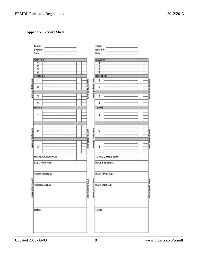# **Appendix 1 - Score Sheet**